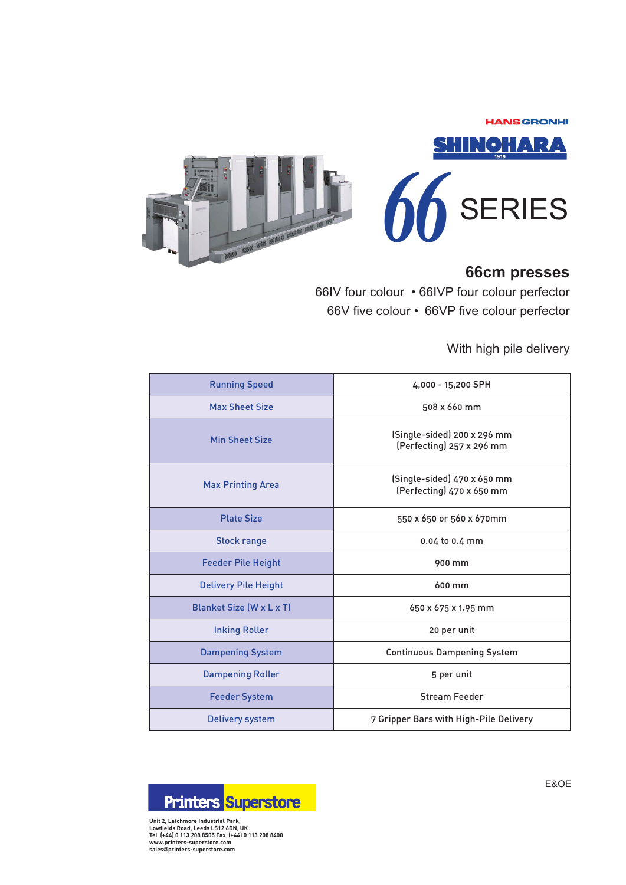**HANSGRONHI** 



## **66cm presses**

66IV four colour • 66IVP four colour perfector 66V five colour • 66VP five colour perfector

With high pile delivery

| <b>Running Speed</b>            | 4,000 - 15,200 SPH                                       |  |  |  |
|---------------------------------|----------------------------------------------------------|--|--|--|
| <b>Max Sheet Size</b>           | 508 x 660 mm                                             |  |  |  |
| <b>Min Sheet Size</b>           | (Single-sided) 200 x 296 mm<br>(Perfecting) 257 x 296 mm |  |  |  |
| <b>Max Printing Area</b>        | (Single-sided) 470 x 650 mm<br>(Perfecting) 470 x 650 mm |  |  |  |
| <b>Plate Size</b>               | 550 x 650 or 560 x 670mm                                 |  |  |  |
| <b>Stock range</b>              | 0.04 to 0.4 mm                                           |  |  |  |
| <b>Feeder Pile Height</b>       | 900 mm                                                   |  |  |  |
| <b>Delivery Pile Height</b>     | 600 mm                                                   |  |  |  |
| <b>Blanket Size (W x L x T)</b> | 650 x 675 x 1.95 mm                                      |  |  |  |
| <b>Inking Roller</b>            | 20 per unit                                              |  |  |  |
| <b>Dampening System</b>         | <b>Continuous Dampening System</b>                       |  |  |  |
| <b>Dampening Roller</b>         | 5 per unit                                               |  |  |  |
| <b>Feeder System</b>            | <b>Stream Feeder</b>                                     |  |  |  |
| <b>Delivery system</b>          | 7 Gripper Bars with High-Pile Delivery                   |  |  |  |



**Unit 2, Latchmore Industrial Park, Lowfields Road, Leeds LS12 6DN, UK Tel (+44) 0 113 208 8505 Fax (+44) 0 113 208 8400 www.printers-superstore.com sales***@***printers-superstore.com**